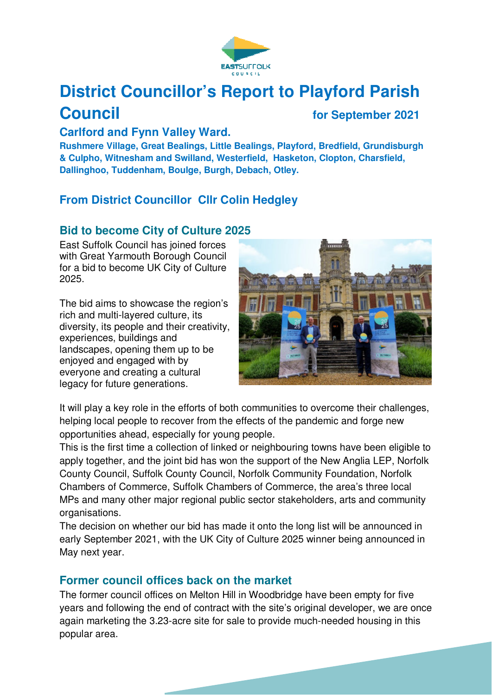

# **District Councillor's Report to Playford Parish Council for September 2021**

#### **Carlford and Fynn Valley Ward.**

**Rushmere Village, Great Bealings, Little Bealings, Playford, Bredfield, Grundisburgh & Culpho, Witnesham and Swilland, Westerfield, Hasketon, Clopton, Charsfield, Dallinghoo, Tuddenham, Boulge, Burgh, Debach, Otley.** 

# **From District Councillor Cllr Colin Hedgley**

# **Bid to become City of Culture 2025**

East Suffolk Council has joined forces with Great Yarmouth Borough Council for a bid to become UK City of Culture 2025.

The bid aims to showcase the region's rich and multi-layered culture, its diversity, its people and their creativity, experiences, buildings and landscapes, opening them up to be enjoyed and engaged with by everyone and creating a cultural legacy for future generations.



It will play a key role in the efforts of both communities to overcome their challenges, helping local people to recover from the effects of the pandemic and forge new opportunities ahead, especially for young people.

This is the first time a collection of linked or neighbouring towns have been eligible to apply together, and the joint bid has won the support of the New Anglia LEP, Norfolk County Council, Suffolk County Council, Norfolk Community Foundation, Norfolk Chambers of Commerce, Suffolk Chambers of Commerce, the area's three local MPs and many other major regional public sector stakeholders, arts and community organisations.

The decision on whether our bid has made it onto the long list will be announced in early September 2021, with the UK City of Culture 2025 winner being announced in May next year.

# **Former council offices back on the market**

The former council offices on Melton Hill in Woodbridge have been empty for five years and following the end of contract with the site's original developer, we are once again marketing the 3.23-acre site for sale to provide much-needed housing in this popular area.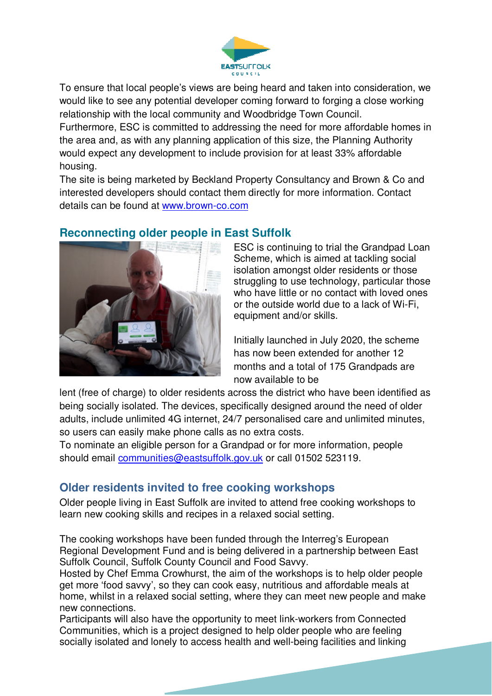

To ensure that local people's views are being heard and taken into consideration, we would like to see any potential developer coming forward to forging a close working relationship with the local community and Woodbridge Town Council. Furthermore, ESC is committed to addressing the need for more affordable homes in the area and, as with any planning application of this size, the Planning Authority would expect any development to include provision for at least 33% affordable housing.

The site is being marketed by Beckland Property Consultancy and Brown & Co and interested developers should contact them directly for more information. Contact details can be found at www.brown-co.com

# **Reconnecting older people in East Suffolk**



ESC is continuing to trial the Grandpad Loan Scheme, which is aimed at tackling social isolation amongst older residents or those struggling to use technology, particular those who have little or no contact with loved ones or the outside world due to a lack of Wi-Fi, equipment and/or skills.

Initially launched in July 2020, the scheme has now been extended for another 12 months and a total of 175 Grandpads are now available to be

lent (free of charge) to older residents across the district who have been identified as being socially isolated. The devices, specifically designed around the need of older adults, include unlimited 4G internet, 24/7 personalised care and unlimited minutes, so users can easily make phone calls as no extra costs.

To nominate an eligible person for a Grandpad or for more information, people should email communities@eastsuffolk.gov.uk or call 01502 523119.

# **Older residents invited to free cooking workshops**

Older people living in East Suffolk are invited to attend free cooking workshops to learn new cooking skills and recipes in a relaxed social setting.

The cooking workshops have been funded through the Interreg's European Regional Development Fund and is being delivered in a partnership between East Suffolk Council, Suffolk County Council and Food Savvy.

Hosted by Chef Emma Crowhurst, the aim of the workshops is to help older people get more 'food savvy', so they can cook easy, nutritious and affordable meals at home, whilst in a relaxed social setting, where they can meet new people and make new connections.

Participants will also have the opportunity to meet link-workers from Connected Communities, which is a project designed to help older people who are feeling socially isolated and lonely to access health and well-being facilities and linking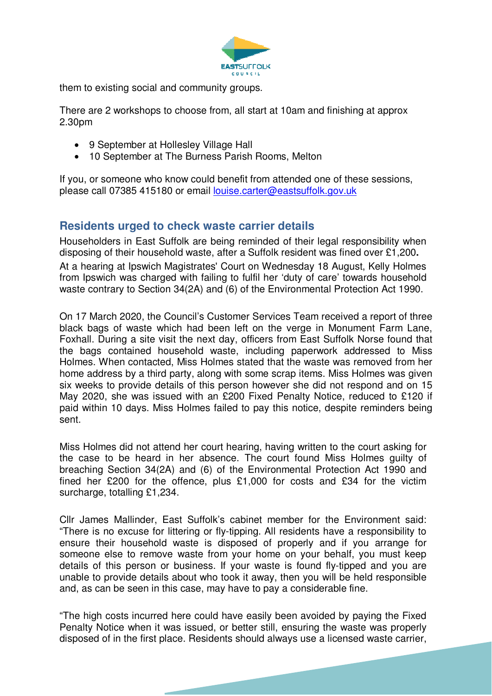

them to existing social and community groups.

There are 2 workshops to choose from, all start at 10am and finishing at approx 2.30pm

- 9 September at Hollesley Village Hall
- 10 September at The Burness Parish Rooms, Melton

If you, or someone who know could benefit from attended one of these sessions, please call 07385 415180 or email louise.carter@eastsuffolk.gov.uk

#### **Residents urged to check waste carrier details**

Householders in East Suffolk are being reminded of their legal responsibility when disposing of their household waste, after a Suffolk resident was fined over £1,200**.**  At a hearing at Ipswich Magistrates' Court on Wednesday 18 August, Kelly Holmes from Ipswich was charged with failing to fulfil her 'duty of care' towards household waste contrary to Section 34(2A) and (6) of the Environmental Protection Act 1990.

On 17 March 2020, the Council's Customer Services Team received a report of three black bags of waste which had been left on the verge in Monument Farm Lane, Foxhall. During a site visit the next day, officers from East Suffolk Norse found that the bags contained household waste, including paperwork addressed to Miss Holmes. When contacted, Miss Holmes stated that the waste was removed from her home address by a third party, along with some scrap items. Miss Holmes was given six weeks to provide details of this person however she did not respond and on 15 May 2020, she was issued with an £200 Fixed Penalty Notice, reduced to £120 if paid within 10 days. Miss Holmes failed to pay this notice, despite reminders being sent.

Miss Holmes did not attend her court hearing, having written to the court asking for the case to be heard in her absence. The court found Miss Holmes guilty of breaching Section 34(2A) and (6) of the Environmental Protection Act 1990 and fined her £200 for the offence, plus £1,000 for costs and £34 for the victim surcharge, totalling £1,234.

Cllr James Mallinder, East Suffolk's cabinet member for the Environment said: "There is no excuse for littering or fly-tipping. All residents have a responsibility to ensure their household waste is disposed of properly and if you arrange for someone else to remove waste from your home on your behalf, you must keep details of this person or business. If your waste is found fly-tipped and you are unable to provide details about who took it away, then you will be held responsible and, as can be seen in this case, may have to pay a considerable fine.

"The high costs incurred here could have easily been avoided by paying the Fixed Penalty Notice when it was issued, or better still, ensuring the waste was properly disposed of in the first place. Residents should always use a licensed waste carrier,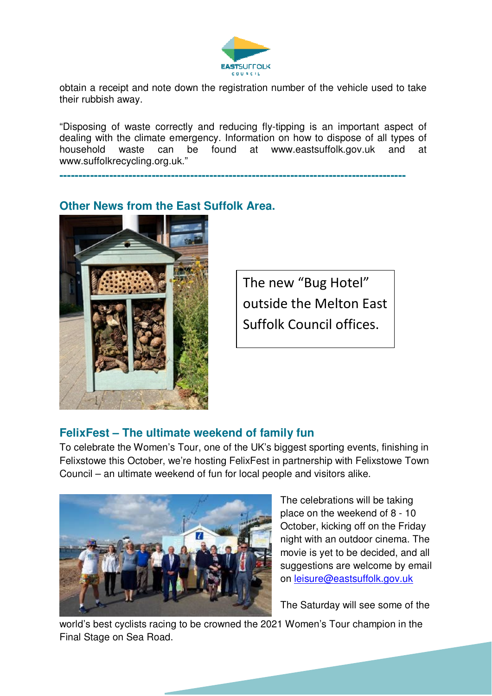

obtain a receipt and note down the registration number of the vehicle used to take their rubbish away.

"Disposing of waste correctly and reducing fly-tipping is an important aspect of dealing with the climate emergency. Information on how to dispose of all types of household waste can be found at www.eastsuffolk.gov.uk and at www.suffolkrecycling.org.uk."

**------------------------------------------------------------------------------------------** 

# **Other News from the East Suffolk Area.**



The new "Bug Hotel" outside the Melton East Suffolk Council offices.

# **FelixFest – The ultimate weekend of family fun**

To celebrate the Women's Tour, one of the UK's biggest sporting events, finishing in Felixstowe this October, we're hosting FelixFest in partnership with Felixstowe Town Council – an ultimate weekend of fun for local people and visitors alike.



The celebrations will be taking place on the weekend of 8 - 10 October, kicking off on the Friday night with an outdoor cinema. The movie is yet to be decided, and all suggestions are welcome by email on leisure@eastsuffolk.gov.uk

The Saturday will see some of the

world's best cyclists racing to be crowned the 2021 Women's Tour champion in the Final Stage on Sea Road.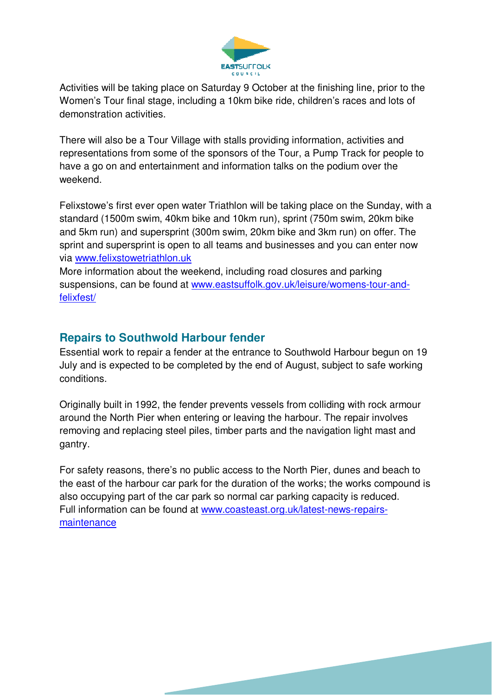

Activities will be taking place on Saturday 9 October at the finishing line, prior to the Women's Tour final stage, including a 10km bike ride, children's races and lots of demonstration activities.

There will also be a Tour Village with stalls providing information, activities and representations from some of the sponsors of the Tour, a Pump Track for people to have a go on and entertainment and information talks on the podium over the weekend.

Felixstowe's first ever open water Triathlon will be taking place on the Sunday, with a standard (1500m swim, 40km bike and 10km run), sprint (750m swim, 20km bike and 5km run) and supersprint (300m swim, 20km bike and 3km run) on offer. The sprint and supersprint is open to all teams and businesses and you can enter now via www.felixstowetriathlon.uk

More information about the weekend, including road closures and parking suspensions, can be found at www.eastsuffolk.gov.uk/leisure/womens-tour-andfelixfest/

# **Repairs to Southwold Harbour fender**

Essential work to repair a fender at the entrance to Southwold Harbour begun on 19 July and is expected to be completed by the end of August, subject to safe working conditions.

Originally built in 1992, the fender prevents vessels from colliding with rock armour around the North Pier when entering or leaving the harbour. The repair involves removing and replacing steel piles, timber parts and the navigation light mast and gantry.

For safety reasons, there's no public access to the North Pier, dunes and beach to the east of the harbour car park for the duration of the works; the works compound is also occupying part of the car park so normal car parking capacity is reduced. Full information can be found at www.coasteast.org.uk/latest-news-repairsmaintenance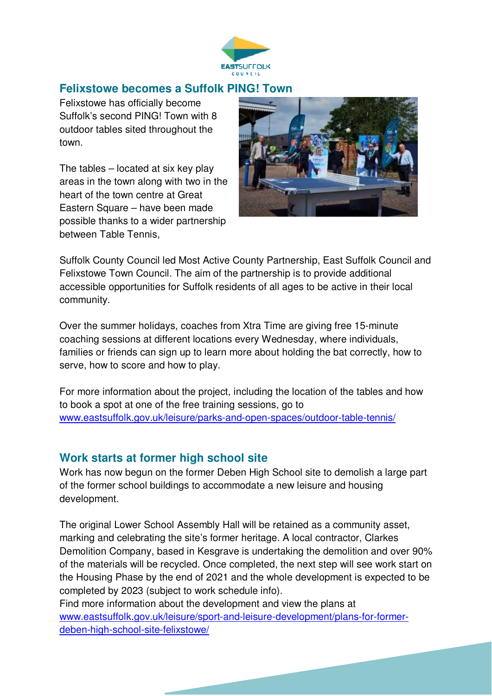

# **Felixstowe becomes a Suffolk PING! Town**

Felixstowe has officially become Suffolk's second PING! Town with 8 outdoor tables sited throughout the town.

The tables – located at six key play areas in the town along with two in the heart of the town centre at Great Eastern Square – have been made possible thanks to a wider partnership between Table Tennis,



Suffolk County Council led Most Active County Partnership, East Suffolk Council and Felixstowe Town Council. The aim of the partnership is to provide additional accessible opportunities for Suffolk residents of all ages to be active in their local community.

Over the summer holidays, coaches from Xtra Time are giving free 15-minute coaching sessions at different locations every Wednesday, where individuals, families or friends can sign up to learn more about holding the bat correctly, how to serve, how to score and how to play.

For more information about the project, including the location of the tables and how to book a spot at one of the free training sessions, go to www.eastsuffolk.gov.uk/leisure/parks-and-open-spaces/outdoor-table-tennis/

#### **Work starts at former high school site**

Work has now begun on the former Deben High School site to demolish a large part of the former school buildings to accommodate a new leisure and housing development.

The original Lower School Assembly Hall will be retained as a community asset, marking and celebrating the site's former heritage. A local contractor, Clarkes Demolition Company, based in Kesgrave is undertaking the demolition and over 90% of the materials will be recycled. Once completed, the next step will see work start on the Housing Phase by the end of 2021 and the whole development is expected to be completed by 2023 (subject to work schedule info).

Find more information about the development and view the plans at www.eastsuffolk.gov.uk/leisure/sport-and-leisure-development/plans-for-formerdeben-high-school-site-felixstowe/